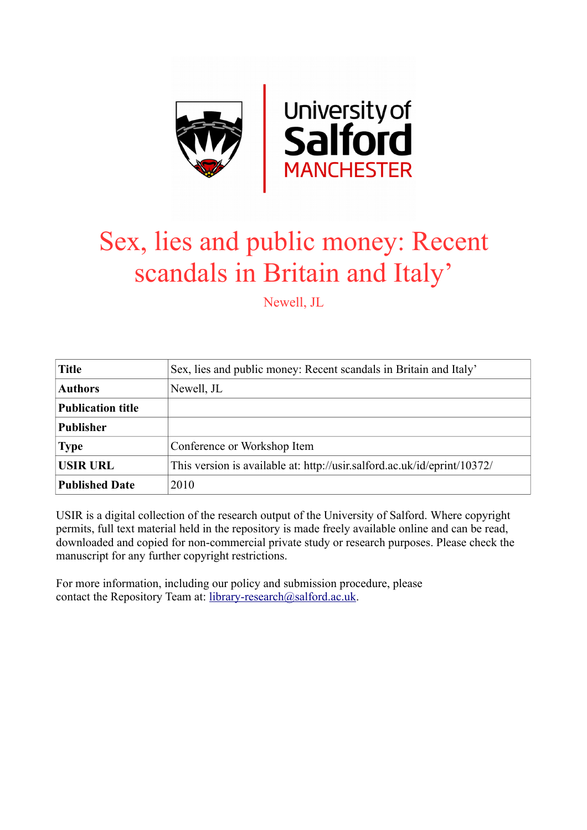

# Sex, lies and public money: Recent scandals in Britain and Italy'

Newell, JL

| <b>Title</b>             | Sex, lies and public money: Recent scandals in Britain and Italy'        |
|--------------------------|--------------------------------------------------------------------------|
| <b>Authors</b>           | Newell, JL                                                               |
| <b>Publication title</b> |                                                                          |
| <b>Publisher</b>         |                                                                          |
| <b>Type</b>              | Conference or Workshop Item                                              |
| USIR URL                 | This version is available at: http://usir.salford.ac.uk/id/eprint/10372/ |
| <b>Published Date</b>    | 2010                                                                     |

USIR is a digital collection of the research output of the University of Salford. Where copyright permits, full text material held in the repository is made freely available online and can be read, downloaded and copied for non-commercial private study or research purposes. Please check the manuscript for any further copyright restrictions.

For more information, including our policy and submission procedure, please contact the Repository Team at: [library-research@salford.ac.uk.](mailto:library-research@salford.ac.uk)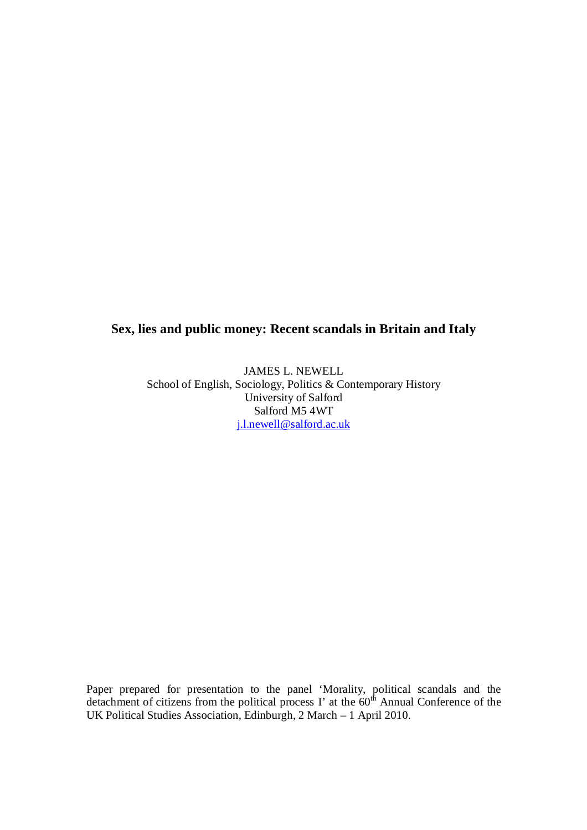## **Sex, lies and public money: Recent scandals in Britain and Italy**

JAMES L. NEWELL School of English, Sociology, Politics & Contemporary History University of Salford Salford M5 4WT j.l.newell@salford.ac.uk

Paper prepared for presentation to the panel 'Morality, political scandals and the detachment of citizens from the political process I' at the  $60<sup>th</sup>$  Annual Conference of the UK Political Studies Association, Edinburgh, 2 March – 1 April 2010.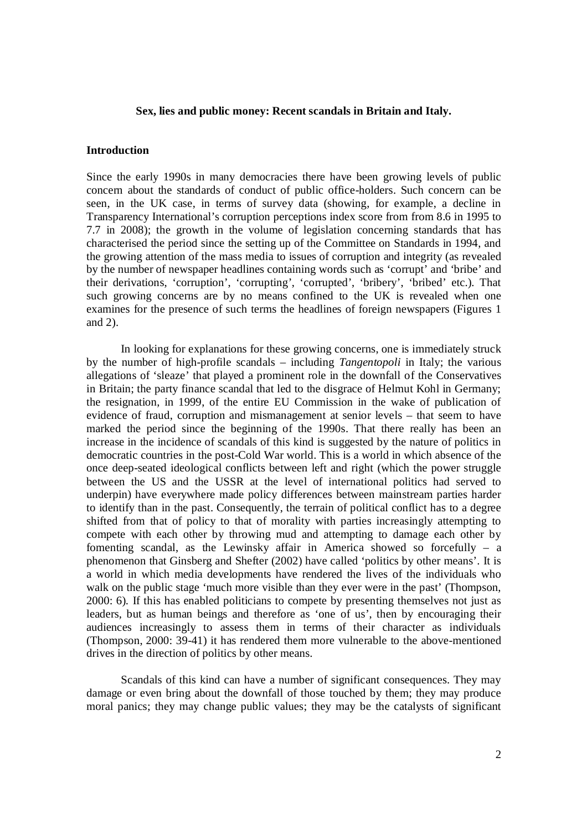#### **Sex, lies and public money: Recent scandals in Britain and Italy.**

#### **Introduction**

Since the early 1990s in many democracies there have been growing levels of public concern about the standards of conduct of public office-holders. Such concern can be seen, in the UK case, in terms of survey data (showing, for example, a decline in Transparency International's corruption perceptions index score from from 8.6 in 1995 to 7.7 in 2008); the growth in the volume of legislation concerning standards that has characterised the period since the setting up of the Committee on Standards in 1994, and the growing attention of the mass media to issues of corruption and integrity (as revealed by the number of newspaper headlines containing words such as 'corrupt' and 'bribe' and their derivations, 'corruption', 'corrupting', 'corrupted', 'bribery', 'bribed' etc.). That such growing concerns are by no means confined to the UK is revealed when one examines for the presence of such terms the headlines of foreign newspapers (Figures 1 and 2).

In looking for explanations for these growing concerns, one is immediately struck by the number of high-profile scandals – including *Tangentopoli* in Italy; the various allegations of 'sleaze' that played a prominent role in the downfall of the Conservatives in Britain; the party finance scandal that led to the disgrace of Helmut Kohl in Germany; the resignation, in 1999, of the entire EU Commission in the wake of publication of evidence of fraud, corruption and mismanagement at senior levels – that seem to have marked the period since the beginning of the 1990s. That there really has been an increase in the incidence of scandals of this kind is suggested by the nature of politics in democratic countries in the post-Cold War world. This is a world in which absence of the once deep-seated ideological conflicts between left and right (which the power struggle between the US and the USSR at the level of international politics had served to underpin) have everywhere made policy differences between mainstream parties harder to identify than in the past. Consequently, the terrain of political conflict has to a degree shifted from that of policy to that of morality with parties increasingly attempting to compete with each other by throwing mud and attempting to damage each other by fomenting scandal, as the Lewinsky affair in America showed so forcefully – a phenomenon that Ginsberg and Shefter (2002) have called 'politics by other means'. It is a world in which media developments have rendered the lives of the individuals who walk on the public stage 'much more visible than they ever were in the past' (Thompson, 2000: 6). If this has enabled politicians to compete by presenting themselves not just as leaders, but as human beings and therefore as 'one of us', then by encouraging their audiences increasingly to assess them in terms of their character as individuals (Thompson, 2000: 39-41) it has rendered them more vulnerable to the above-mentioned drives in the direction of politics by other means.

Scandals of this kind can have a number of significant consequences. They may damage or even bring about the downfall of those touched by them; they may produce moral panics; they may change public values; they may be the catalysts of significant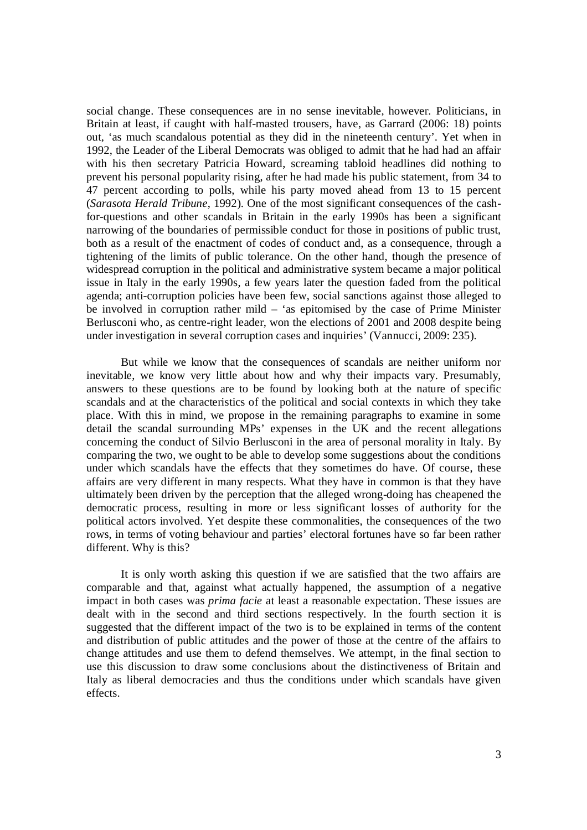social change. These consequences are in no sense inevitable, however. Politicians, in Britain at least, if caught with half-masted trousers, have, as Garrard (2006: 18) points out, 'as much scandalous potential as they did in the nineteenth century'. Yet when in 1992, the Leader of the Liberal Democrats was obliged to admit that he had had an affair with his then secretary Patricia Howard, screaming tabloid headlines did nothing to prevent his personal popularity rising, after he had made his public statement, from 34 to 47 percent according to polls, while his party moved ahead from 13 to 15 percent (*Sarasota Herald Tribune*, 1992). One of the most significant consequences of the cashfor-questions and other scandals in Britain in the early 1990s has been a significant narrowing of the boundaries of permissible conduct for those in positions of public trust, both as a result of the enactment of codes of conduct and, as a consequence, through a tightening of the limits of public tolerance. On the other hand, though the presence of widespread corruption in the political and administrative system became a major political issue in Italy in the early 1990s, a few years later the question faded from the political agenda; anti-corruption policies have been few, social sanctions against those alleged to be involved in corruption rather mild – 'as epitomised by the case of Prime Minister Berlusconi who, as centre-right leader, won the elections of 2001 and 2008 despite being under investigation in several corruption cases and inquiries' (Vannucci, 2009: 235).

But while we know that the consequences of scandals are neither uniform nor inevitable, we know very little about how and why their impacts vary. Presumably, answers to these questions are to be found by looking both at the nature of specific scandals and at the characteristics of the political and social contexts in which they take place. With this in mind, we propose in the remaining paragraphs to examine in some detail the scandal surrounding MPs' expenses in the UK and the recent allegations concerning the conduct of Silvio Berlusconi in the area of personal morality in Italy. By comparing the two, we ought to be able to develop some suggestions about the conditions under which scandals have the effects that they sometimes do have. Of course, these affairs are very different in many respects. What they have in common is that they have ultimately been driven by the perception that the alleged wrong-doing has cheapened the democratic process, resulting in more or less significant losses of authority for the political actors involved. Yet despite these commonalities, the consequences of the two rows, in terms of voting behaviour and parties' electoral fortunes have so far been rather different. Why is this?

It is only worth asking this question if we are satisfied that the two affairs are comparable and that, against what actually happened, the assumption of a negative impact in both cases was *prima facie* at least a reasonable expectation. These issues are dealt with in the second and third sections respectively. In the fourth section it is suggested that the different impact of the two is to be explained in terms of the content and distribution of public attitudes and the power of those at the centre of the affairs to change attitudes and use them to defend themselves. We attempt, in the final section to use this discussion to draw some conclusions about the distinctiveness of Britain and Italy as liberal democracies and thus the conditions under which scandals have given effects.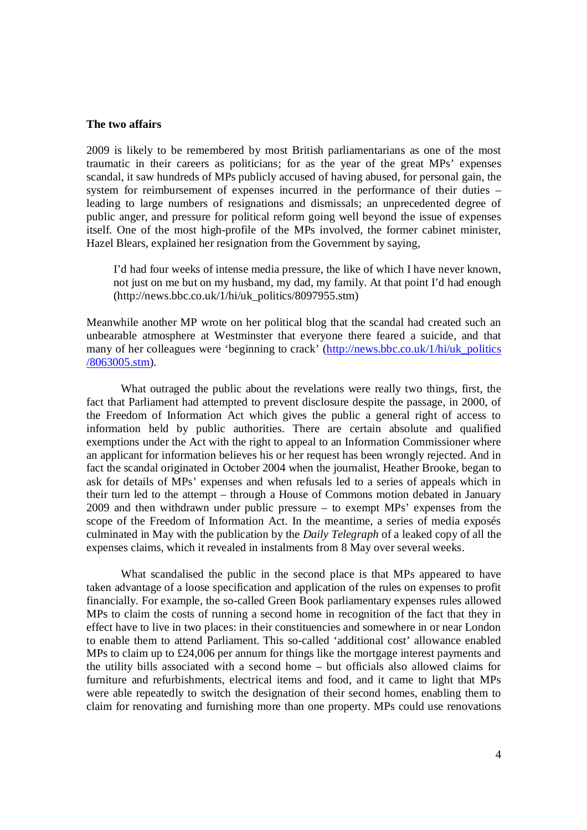#### **The two affairs**

2009 is likely to be remembered by most British parliamentarians as one of the most traumatic in their careers as politicians; for as the year of the great MPs' expenses scandal, it saw hundreds of MPs publicly accused of having abused, for personal gain, the system for reimbursement of expenses incurred in the performance of their duties – leading to large numbers of resignations and dismissals; an unprecedented degree of public anger, and pressure for political reform going well beyond the issue of expenses itself. One of the most high-profile of the MPs involved, the former cabinet minister, Hazel Blears, explained her resignation from the Government by saying,

I'd had four weeks of intense media pressure, the like of which I have never known, not just on me but on my husband, my dad, my family. At that point I'd had enough (http://news.bbc.co.uk/1/hi/uk\_politics/8097955.stm)

Meanwhile another MP wrote on her political blog that the scandal had created such an unbearable atmosphere at Westminster that everyone there feared a suicide, and that many of her colleagues were 'beginning to crack' (http://news.bbc.co.uk/1/hi/uk\_politics /8063005.stm).

What outraged the public about the revelations were really two things, first, the fact that Parliament had attempted to prevent disclosure despite the passage, in 2000, of the Freedom of Information Act which gives the public a general right of access to information held by public authorities. There are certain absolute and qualified exemptions under the Act with the right to appeal to an Information Commissioner where an applicant for information believes his or her request has been wrongly rejected. And in fact the scandal originated in October 2004 when the journalist, Heather Brooke, began to ask for details of MPs' expenses and when refusals led to a series of appeals which in their turn led to the attempt – through a House of Commons motion debated in January 2009 and then withdrawn under public pressure – to exempt MPs' expenses from the scope of the Freedom of Information Act. In the meantime, a series of media exposés culminated in May with the publication by the *Daily Telegraph* of a leaked copy of all the expenses claims, which it revealed in instalments from 8 May over several weeks.

What scandalised the public in the second place is that MPs appeared to have taken advantage of a loose specification and application of the rules on expenses to profit financially. For example, the so-called Green Book parliamentary expenses rules allowed MPs to claim the costs of running a second home in recognition of the fact that they in effect have to live in two places: in their constituencies and somewhere in or near London to enable them to attend Parliament. This so-called 'additional cost' allowance enabled MPs to claim up to £24,006 per annum for things like the mortgage interest payments and the utility bills associated with a second home – but officials also allowed claims for furniture and refurbishments, electrical items and food, and it came to light that MPs were able repeatedly to switch the designation of their second homes, enabling them to claim for renovating and furnishing more than one property. MPs could use renovations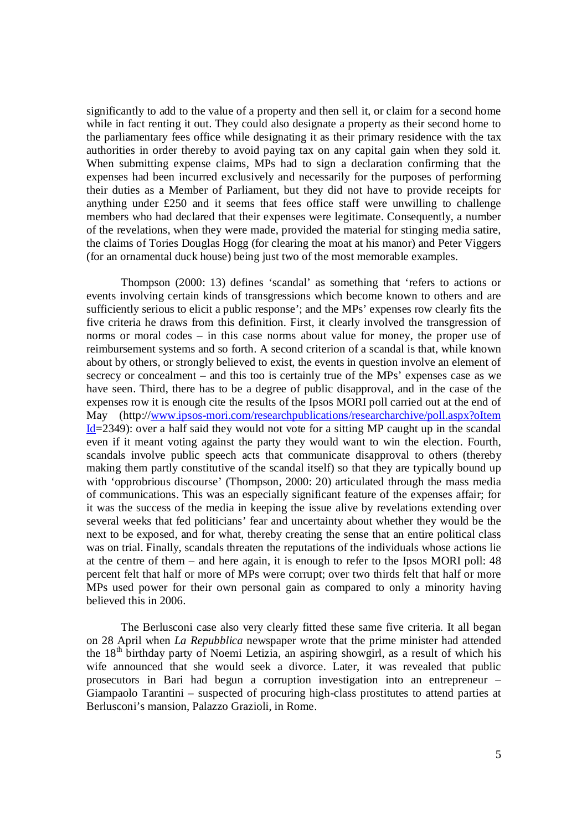significantly to add to the value of a property and then sell it, or claim for a second home while in fact renting it out. They could also designate a property as their second home to the parliamentary fees office while designating it as their primary residence with the tax authorities in order thereby to avoid paying tax on any capital gain when they sold it. When submitting expense claims, MPs had to sign a declaration confirming that the expenses had been incurred exclusively and necessarily for the purposes of performing their duties as a Member of Parliament, but they did not have to provide receipts for anything under £250 and it seems that fees office staff were unwilling to challenge members who had declared that their expenses were legitimate. Consequently, a number of the revelations, when they were made, provided the material for stinging media satire, the claims of Tories Douglas Hogg (for clearing the moat at his manor) and Peter Viggers (for an ornamental duck house) being just two of the most memorable examples.

Thompson (2000: 13) defines 'scandal' as something that 'refers to actions or events involving certain kinds of transgressions which become known to others and are sufficiently serious to elicit a public response'; and the MPs' expenses row clearly fits the five criteria he draws from this definition. First, it clearly involved the transgression of norms or moral codes – in this case norms about value for money, the proper use of reimbursement systems and so forth. A second criterion of a scandal is that, while known about by others, or strongly believed to exist, the events in question involve an element of secrecy or concealment – and this too is certainly true of the MPs' expenses case as we have seen. Third, there has to be a degree of public disapproval, and in the case of the expenses row it is enough cite the results of the Ipsos MORI poll carried out at the end of May (http://www.ipsos-mori.com/researchpublications/researcharchive/poll.aspx?oItem  $Id=2349$ : over a half said they would not vote for a sitting MP caught up in the scandal even if it meant voting against the party they would want to win the election. Fourth, scandals involve public speech acts that communicate disapproval to others (thereby making them partly constitutive of the scandal itself) so that they are typically bound up with 'opprobrious discourse' (Thompson, 2000: 20) articulated through the mass media of communications. This was an especially significant feature of the expenses affair; for it was the success of the media in keeping the issue alive by revelations extending over several weeks that fed politicians' fear and uncertainty about whether they would be the next to be exposed, and for what, thereby creating the sense that an entire political class was on trial. Finally, scandals threaten the reputations of the individuals whose actions lie at the centre of them – and here again, it is enough to refer to the Ipsos MORI poll: 48 percent felt that half or more of MPs were corrupt; over two thirds felt that half or more MPs used power for their own personal gain as compared to only a minority having believed this in 2006.

The Berlusconi case also very clearly fitted these same five criteria. It all began on 28 April when *La Repubblica* newspaper wrote that the prime minister had attended the  $18<sup>th</sup>$  birthday party of Noemi Letizia, an aspiring showgirl, as a result of which his wife announced that she would seek a divorce. Later, it was revealed that public prosecutors in Bari had begun a corruption investigation into an entrepreneur – Giampaolo Tarantini – suspected of procuring high-class prostitutes to attend parties at Berlusconi's mansion, Palazzo Grazioli, in Rome.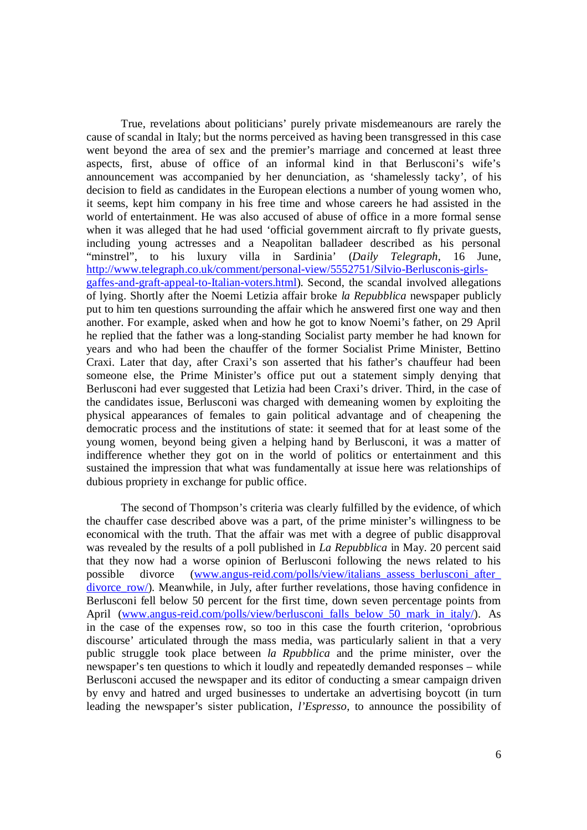True, revelations about politicians' purely private misdemeanours are rarely the cause of scandal in Italy; but the norms perceived as having been transgressed in this case went beyond the area of sex and the premier's marriage and concerned at least three aspects, first, abuse of office of an informal kind in that Berlusconi's wife's announcement was accompanied by her denunciation, as 'shamelessly tacky', of his decision to field as candidates in the European elections a number of young women who, it seems, kept him company in his free time and whose careers he had assisted in the world of entertainment. He was also accused of abuse of office in a more formal sense when it was alleged that he had used 'official government aircraft to fly private guests, including young actresses and a Neapolitan balladeer described as his personal "minstrel", to his luxury villa in Sardinia' (*Daily Telegraph*, 16 June, http://www.telegraph.co.uk/comment/personal-view/5552751/Silvio-Berlusconis-girlsgaffes-and-graft-appeal-to-Italian-voters.html). Second, the scandal involved allegations of lying. Shortly after the Noemi Letizia affair broke *la Repubblica* newspaper publicly put to him ten questions surrounding the affair which he answered first one way and then another. For example, asked when and how he got to know Noemi's father, on 29 April he replied that the father was a long-standing Socialist party member he had known for years and who had been the chauffer of the former Socialist Prime Minister, Bettino Craxi. Later that day, after Craxi's son asserted that his father's chauffeur had been someone else, the Prime Minister's office put out a statement simply denying that Berlusconi had ever suggested that Letizia had been Craxi's driver. Third, in the case of the candidates issue, Berlusconi was charged with demeaning women by exploiting the physical appearances of females to gain political advantage and of cheapening the democratic process and the institutions of state: it seemed that for at least some of the young women, beyond being given a helping hand by Berlusconi, it was a matter of indifference whether they got on in the world of politics or entertainment and this sustained the impression that what was fundamentally at issue here was relationships of dubious propriety in exchange for public office.

The second of Thompson's criteria was clearly fulfilled by the evidence, of which the chauffer case described above was a part, of the prime minister's willingness to be economical with the truth. That the affair was met with a degree of public disapproval was revealed by the results of a poll published in *La Repubblica* in May. 20 percent said that they now had a worse opinion of Berlusconi following the news related to his possible divorce (www.angus-reid.com/polls/view/italians assess berlusconi after divorce row/). Meanwhile, in July, after further revelations, those having confidence in Berlusconi fell below 50 percent for the first time, down seven percentage points from April (www.angus-reid.com/polls/view/berlusconi falls below 50 mark in italy/). As in the case of the expenses row, so too in this case the fourth criterion, 'oprobrious discourse' articulated through the mass media, was particularly salient in that a very public struggle took place between *la Rpubblica* and the prime minister, over the newspaper's ten questions to which it loudly and repeatedly demanded responses – while Berlusconi accused the newspaper and its editor of conducting a smear campaign driven by envy and hatred and urged businesses to undertake an advertising boycott (in turn leading the newspaper's sister publication, *l'Espresso*, to announce the possibility of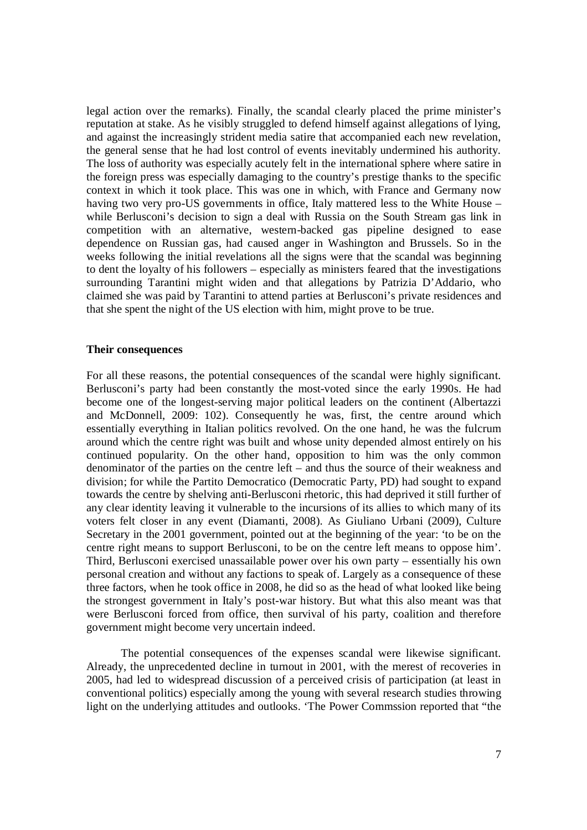legal action over the remarks). Finally, the scandal clearly placed the prime minister's reputation at stake. As he visibly struggled to defend himself against allegations of lying, and against the increasingly strident media satire that accompanied each new revelation, the general sense that he had lost control of events inevitably undermined his authority. The loss of authority was especially acutely felt in the international sphere where satire in the foreign press was especially damaging to the country's prestige thanks to the specific context in which it took place. This was one in which, with France and Germany now having two very pro-US governments in office, Italy mattered less to the White House – while Berlusconi's decision to sign a deal with Russia on the South Stream gas link in competition with an alternative, western-backed gas pipeline designed to ease dependence on Russian gas, had caused anger in Washington and Brussels. So in the weeks following the initial revelations all the signs were that the scandal was beginning to dent the loyalty of his followers – especially as ministers feared that the investigations surrounding Tarantini might widen and that allegations by Patrizia D'Addario, who claimed she was paid by Tarantini to attend parties at Berlusconi's private residences and that she spent the night of the US election with him, might prove to be true.

#### **Their consequences**

For all these reasons, the potential consequences of the scandal were highly significant. Berlusconi's party had been constantly the most-voted since the early 1990s. He had become one of the longest-serving major political leaders on the continent (Albertazzi and McDonnell, 2009: 102). Consequently he was, first, the centre around which essentially everything in Italian politics revolved. On the one hand, he was the fulcrum around which the centre right was built and whose unity depended almost entirely on his continued popularity. On the other hand, opposition to him was the only common denominator of the parties on the centre left – and thus the source of their weakness and division; for while the Partito Democratico (Democratic Party, PD) had sought to expand towards the centre by shelving anti-Berlusconi rhetoric, this had deprived it still further of any clear identity leaving it vulnerable to the incursions of its allies to which many of its voters felt closer in any event (Diamanti, 2008). As Giuliano Urbani (2009), Culture Secretary in the 2001 government, pointed out at the beginning of the year: 'to be on the centre right means to support Berlusconi, to be on the centre left means to oppose him'. Third, Berlusconi exercised unassailable power over his own party – essentially his own personal creation and without any factions to speak of. Largely as a consequence of these three factors, when he took office in 2008, he did so as the head of what looked like being the strongest government in Italy's post-war history. But what this also meant was that were Berlusconi forced from office, then survival of his party, coalition and therefore government might become very uncertain indeed.

The potential consequences of the expenses scandal were likewise significant. Already, the unprecedented decline in turnout in 2001, with the merest of recoveries in 2005, had led to widespread discussion of a perceived crisis of participation (at least in conventional politics) especially among the young with several research studies throwing light on the underlying attitudes and outlooks. 'The Power Commssion reported that "the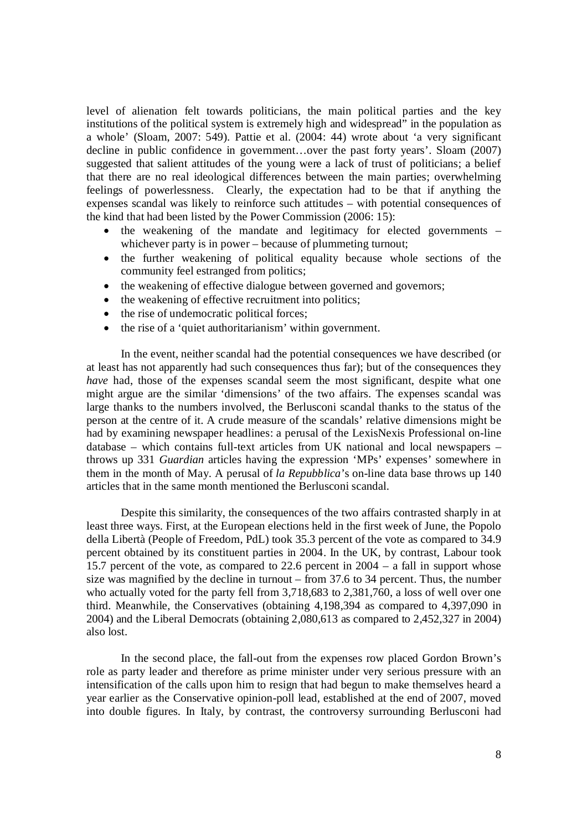level of alienation felt towards politicians, the main political parties and the key institutions of the political system is extremely high and widespread" in the population as a whole' (Sloam, 2007: 549). Pattie et al. (2004: 44) wrote about 'a very significant decline in public confidence in government…over the past forty years'. Sloam (2007) suggested that salient attitudes of the young were a lack of trust of politicians; a belief that there are no real ideological differences between the main parties; overwhelming feelings of powerlessness. Clearly, the expectation had to be that if anything the expenses scandal was likely to reinforce such attitudes – with potential consequences of the kind that had been listed by the Power Commission (2006: 15):

- the weakening of the mandate and legitimacy for elected governments whichever party is in power – because of plummeting turnout;
- the further weakening of political equality because whole sections of the community feel estranged from politics;
- the weakening of effective dialogue between governed and governors;
- the weakening of effective recruitment into politics;
- the rise of undemocratic political forces:
- the rise of a 'quiet authoritarianism' within government.

In the event, neither scandal had the potential consequences we have described (or at least has not apparently had such consequences thus far); but of the consequences they *have* had, those of the expenses scandal seem the most significant, despite what one might argue are the similar 'dimensions' of the two affairs. The expenses scandal was large thanks to the numbers involved, the Berlusconi scandal thanks to the status of the person at the centre of it. A crude measure of the scandals' relative dimensions might be had by examining newspaper headlines: a perusal of the LexisNexis Professional on-line database – which contains full-text articles from UK national and local newspapers – throws up 331 *Guardian* articles having the expression 'MPs' expenses' somewhere in them in the month of May. A perusal of *la Repubblica*'s on-line data base throws up 140 articles that in the same month mentioned the Berlusconi scandal.

Despite this similarity, the consequences of the two affairs contrasted sharply in at least three ways. First, at the European elections held in the first week of June, the Popolo della Libertà (People of Freedom, PdL) took 35.3 percent of the vote as compared to 34.9 percent obtained by its constituent parties in 2004. In the UK, by contrast, Labour took 15.7 percent of the vote, as compared to 22.6 percent in 2004 – a fall in support whose size was magnified by the decline in turnout – from 37.6 to 34 percent. Thus, the number who actually voted for the party fell from 3,718,683 to 2,381,760, a loss of well over one third. Meanwhile, the Conservatives (obtaining 4,198,394 as compared to 4,397,090 in 2004) and the Liberal Democrats (obtaining 2,080,613 as compared to 2,452,327 in 2004) also lost.

In the second place, the fall-out from the expenses row placed Gordon Brown's role as party leader and therefore as prime minister under very serious pressure with an intensification of the calls upon him to resign that had begun to make themselves heard a year earlier as the Conservative opinion-poll lead, established at the end of 2007, moved into double figures. In Italy, by contrast, the controversy surrounding Berlusconi had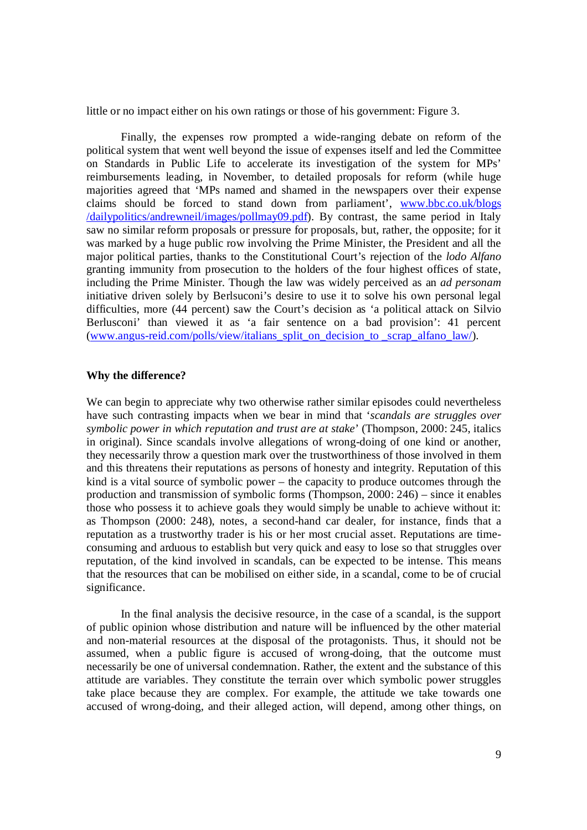little or no impact either on his own ratings or those of his government: Figure 3.

Finally, the expenses row prompted a wide-ranging debate on reform of the political system that went well beyond the issue of expenses itself and led the Committee on Standards in Public Life to accelerate its investigation of the system for MPs' reimbursements leading, in November, to detailed proposals for reform (while huge majorities agreed that 'MPs named and shamed in the newspapers over their expense claims should be forced to stand down from parliament', www.bbc.co.uk/blogs /dailypolitics/andrewneil/images/pollmay09.pdf). By contrast, the same period in Italy saw no similar reform proposals or pressure for proposals, but, rather, the opposite; for it was marked by a huge public row involving the Prime Minister, the President and all the major political parties, thanks to the Constitutional Court's rejection of the *lodo Alfano* granting immunity from prosecution to the holders of the four highest offices of state, including the Prime Minister. Though the law was widely perceived as an *ad personam*  initiative driven solely by Berlsuconi's desire to use it to solve his own personal legal difficulties, more (44 percent) saw the Court's decision as 'a political attack on Silvio Berlusconi' than viewed it as 'a fair sentence on a bad provision': 41 percent (www.angus-reid.com/polls/view/italians\_split\_on\_decision\_to \_scrap\_alfano\_law/).

#### **Why the difference?**

We can begin to appreciate why two otherwise rather similar episodes could nevertheless have such contrasting impacts when we bear in mind that '*scandals are struggles over symbolic power in which reputation and trust are at stake*' (Thompson, 2000: 245, italics in original). Since scandals involve allegations of wrong-doing of one kind or another, they necessarily throw a question mark over the trustworthiness of those involved in them and this threatens their reputations as persons of honesty and integrity. Reputation of this kind is a vital source of symbolic power – the capacity to produce outcomes through the production and transmission of symbolic forms (Thompson, 2000: 246) – since it enables those who possess it to achieve goals they would simply be unable to achieve without it: as Thompson (2000: 248), notes, a second-hand car dealer, for instance, finds that a reputation as a trustworthy trader is his or her most crucial asset. Reputations are timeconsuming and arduous to establish but very quick and easy to lose so that struggles over reputation, of the kind involved in scandals, can be expected to be intense. This means that the resources that can be mobilised on either side, in a scandal, come to be of crucial significance.

In the final analysis the decisive resource, in the case of a scandal, is the support of public opinion whose distribution and nature will be influenced by the other material and non-material resources at the disposal of the protagonists. Thus, it should not be assumed, when a public figure is accused of wrong-doing, that the outcome must necessarily be one of universal condemnation. Rather, the extent and the substance of this attitude are variables. They constitute the terrain over which symbolic power struggles take place because they are complex. For example, the attitude we take towards one accused of wrong-doing, and their alleged action, will depend, among other things, on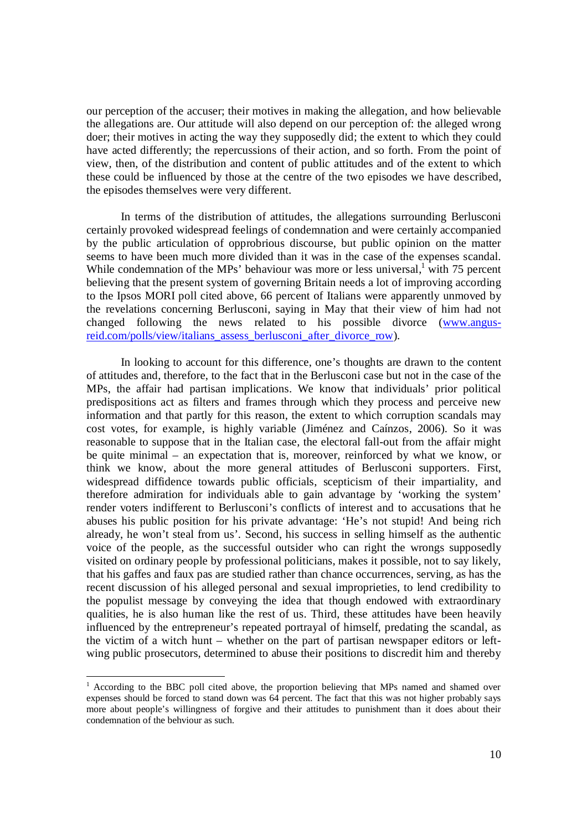our perception of the accuser; their motives in making the allegation, and how believable the allegations are. Our attitude will also depend on our perception of: the alleged wrong doer; their motives in acting the way they supposedly did; the extent to which they could have acted differently; the repercussions of their action, and so forth. From the point of view, then, of the distribution and content of public attitudes and of the extent to which these could be influenced by those at the centre of the two episodes we have described, the episodes themselves were very different.

In terms of the distribution of attitudes, the allegations surrounding Berlusconi certainly provoked widespread feelings of condemnation and were certainly accompanied by the public articulation of opprobrious discourse, but public opinion on the matter seems to have been much more divided than it was in the case of the expenses scandal. While condemnation of the MPs' behaviour was more or less universal, with 75 percent believing that the present system of governing Britain needs a lot of improving according to the Ipsos MORI poll cited above, 66 percent of Italians were apparently unmoved by the revelations concerning Berlusconi, saying in May that their view of him had not changed following the news related to his possible divorce (www.angusreid.com/polls/view/italians\_assess\_berlusconi\_after\_divorce\_row).

In looking to account for this difference, one's thoughts are drawn to the content of attitudes and, therefore, to the fact that in the Berlusconi case but not in the case of the MPs, the affair had partisan implications. We know that individuals' prior political predispositions act as filters and frames through which they process and perceive new information and that partly for this reason, the extent to which corruption scandals may cost votes, for example, is highly variable (Jiménez and Caínzos, 2006). So it was reasonable to suppose that in the Italian case, the electoral fall-out from the affair might be quite minimal – an expectation that is, moreover, reinforced by what we know, or think we know, about the more general attitudes of Berlusconi supporters. First, widespread diffidence towards public officials, scepticism of their impartiality, and therefore admiration for individuals able to gain advantage by 'working the system' render voters indifferent to Berlusconi's conflicts of interest and to accusations that he abuses his public position for his private advantage: 'He's not stupid! And being rich already, he won't steal from us'. Second, his success in selling himself as the authentic voice of the people, as the successful outsider who can right the wrongs supposedly visited on ordinary people by professional politicians, makes it possible, not to say likely, that his gaffes and faux pas are studied rather than chance occurrences, serving, as has the recent discussion of his alleged personal and sexual improprieties, to lend credibility to the populist message by conveying the idea that though endowed with extraordinary qualities, he is also human like the rest of us. Third, these attitudes have been heavily influenced by the entrepreneur's repeated portrayal of himself, predating the scandal, as the victim of a witch hunt – whether on the part of partisan newspaper editors or leftwing public prosecutors, determined to abuse their positions to discredit him and thereby

-

<sup>&</sup>lt;sup>1</sup> According to the BBC poll cited above, the proportion believing that MPs named and shamed over expenses should be forced to stand down was 64 percent. The fact that this was not higher probably says more about people's willingness of forgive and their attitudes to punishment than it does about their condemnation of the behviour as such.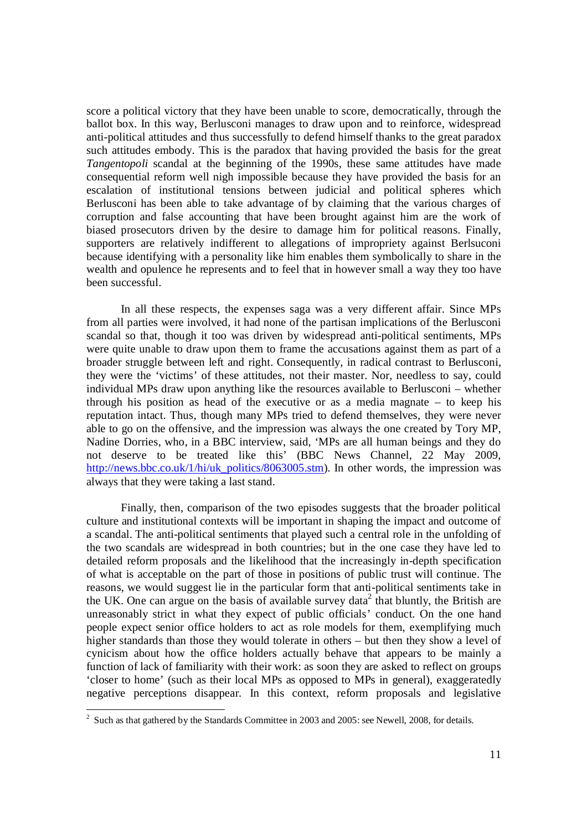score a political victory that they have been unable to score, democratically, through the ballot box. In this way, Berlusconi manages to draw upon and to reinforce, widespread anti-political attitudes and thus successfully to defend himself thanks to the great paradox such attitudes embody. This is the paradox that having provided the basis for the great *Tangentopoli* scandal at the beginning of the 1990s, these same attitudes have made consequential reform well nigh impossible because they have provided the basis for an escalation of institutional tensions between judicial and political spheres which Berlusconi has been able to take advantage of by claiming that the various charges of corruption and false accounting that have been brought against him are the work of biased prosecutors driven by the desire to damage him for political reasons. Finally, supporters are relatively indifferent to allegations of impropriety against Berlsuconi because identifying with a personality like him enables them symbolically to share in the wealth and opulence he represents and to feel that in however small a way they too have been successful.

In all these respects, the expenses saga was a very different affair. Since MPs from all parties were involved, it had none of the partisan implications of the Berlusconi scandal so that, though it too was driven by widespread anti-political sentiments, MPs were quite unable to draw upon them to frame the accusations against them as part of a broader struggle between left and right. Consequently, in radical contrast to Berlusconi, they were the 'victims' of these attitudes, not their master. Nor, needless to say, could individual MPs draw upon anything like the resources available to Berlusconi – whether through his position as head of the executive or as a media magnate – to keep his reputation intact. Thus, though many MPs tried to defend themselves, they were never able to go on the offensive, and the impression was always the one created by Tory MP, Nadine Dorries, who, in a BBC interview, said, 'MPs are all human beings and they do not deserve to be treated like this' (BBC News Channel, 22 May 2009, http://news.bbc.co.uk/1/hi/uk\_politics/8063005.stm). In other words, the impression was always that they were taking a last stand.

Finally, then, comparison of the two episodes suggests that the broader political culture and institutional contexts will be important in shaping the impact and outcome of a scandal. The anti-political sentiments that played such a central role in the unfolding of the two scandals are widespread in both countries; but in the one case they have led to detailed reform proposals and the likelihood that the increasingly in-depth specification of what is acceptable on the part of those in positions of public trust will continue. The reasons, we would suggest lie in the particular form that anti-political sentiments take in the UK. One can argue on the basis of available survey data<sup>2</sup> that bluntly, the British are unreasonably strict in what they expect of public officials' conduct. On the one hand people expect senior office holders to act as role models for them, exemplifying much higher standards than those they would tolerate in others – but then they show a level of cynicism about how the office holders actually behave that appears to be mainly a function of lack of familiarity with their work: as soon they are asked to reflect on groups 'closer to home' (such as their local MPs as opposed to MPs in general), exaggeratedly negative perceptions disappear. In this context, reform proposals and legislative

<sup>&</sup>lt;sup>2</sup> Such as that gathered by the Standards Committee in 2003 and 2005: see Newell, 2008, for details.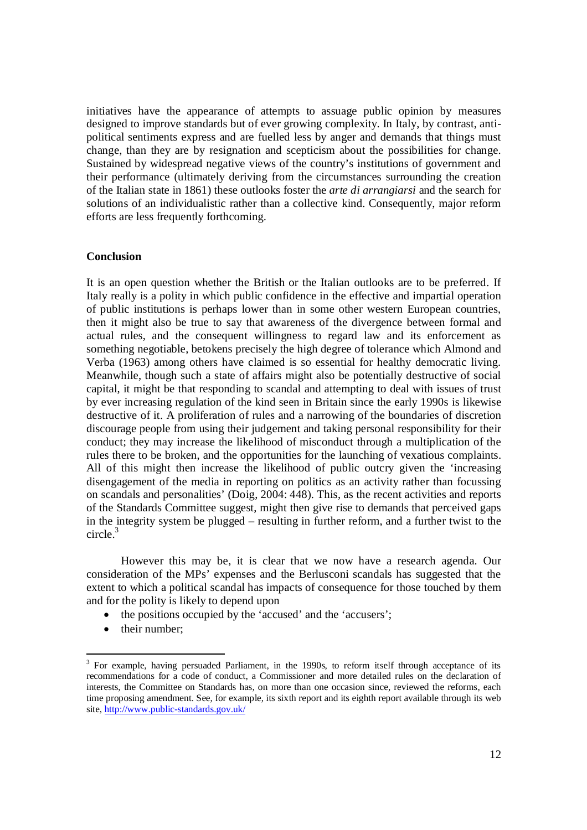initiatives have the appearance of attempts to assuage public opinion by measures designed to improve standards but of ever growing complexity. In Italy, by contrast, antipolitical sentiments express and are fuelled less by anger and demands that things must change, than they are by resignation and scepticism about the possibilities for change. Sustained by widespread negative views of the country's institutions of government and their performance (ultimately deriving from the circumstances surrounding the creation of the Italian state in 1861) these outlooks foster the *arte di arrangiarsi* and the search for solutions of an individualistic rather than a collective kind. Consequently, major reform efforts are less frequently forthcoming.

#### **Conclusion**

It is an open question whether the British or the Italian outlooks are to be preferred. If Italy really is a polity in which public confidence in the effective and impartial operation of public institutions is perhaps lower than in some other western European countries, then it might also be true to say that awareness of the divergence between formal and actual rules, and the consequent willingness to regard law and its enforcement as something negotiable, betokens precisely the high degree of tolerance which Almond and Verba (1963) among others have claimed is so essential for healthy democratic living. Meanwhile, though such a state of affairs might also be potentially destructive of social capital, it might be that responding to scandal and attempting to deal with issues of trust by ever increasing regulation of the kind seen in Britain since the early 1990s is likewise destructive of it. A proliferation of rules and a narrowing of the boundaries of discretion discourage people from using their judgement and taking personal responsibility for their conduct; they may increase the likelihood of misconduct through a multiplication of the rules there to be broken, and the opportunities for the launching of vexatious complaints. All of this might then increase the likelihood of public outcry given the 'increasing disengagement of the media in reporting on politics as an activity rather than focussing on scandals and personalities' (Doig, 2004: 448). This, as the recent activities and reports of the Standards Committee suggest, might then give rise to demands that perceived gaps in the integrity system be plugged – resulting in further reform, and a further twist to the circle.<sup>3</sup>

However this may be, it is clear that we now have a research agenda. Our consideration of the MPs' expenses and the Berlusconi scandals has suggested that the extent to which a political scandal has impacts of consequence for those touched by them and for the polity is likely to depend upon

- the positions occupied by the 'accused' and the 'accusers';
- their number;

-

<sup>&</sup>lt;sup>3</sup> For example, having persuaded Parliament, in the 1990s, to reform itself through acceptance of its recommendations for a code of conduct, a Commissioner and more detailed rules on the declaration of interests, the Committee on Standards has, on more than one occasion since, reviewed the reforms, each time proposing amendment. See, for example, its sixth report and its eighth report available through its web site, http://www.public-standards.gov.uk/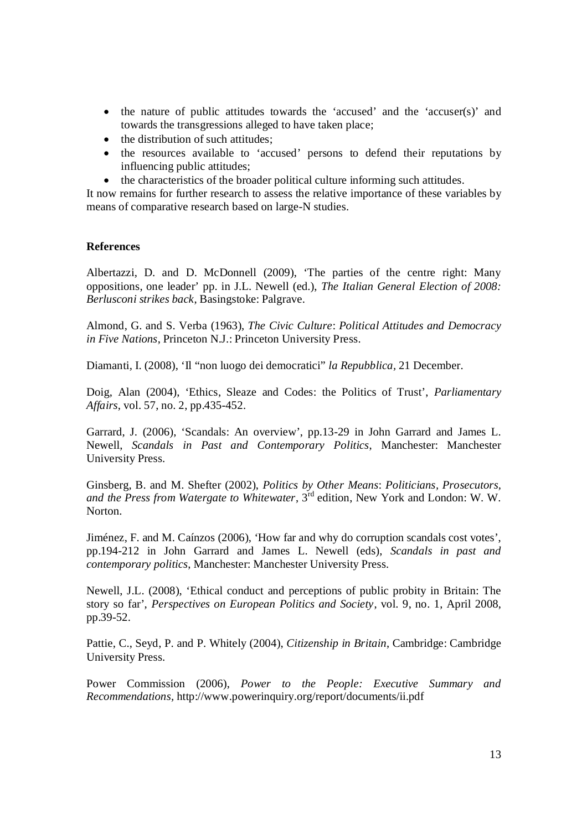- the nature of public attitudes towards the 'accused' and the 'accuser(s)' and towards the transgressions alleged to have taken place;
- $\bullet$  the distribution of such attitudes;
- the resources available to 'accused' persons to defend their reputations by influencing public attitudes;
- the characteristics of the broader political culture informing such attitudes.

It now remains for further research to assess the relative importance of these variables by means of comparative research based on large-N studies.

### **References**

Albertazzi, D. and D. McDonnell (2009), 'The parties of the centre right: Many oppositions, one leader' pp. in J.L. Newell (ed.), *The Italian General Election of 2008: Berlusconi strikes back*, Basingstoke: Palgrave.

Almond, G. and S. Verba (1963), *The Civic Culture*: *Political Attitudes and Democracy in Five Nations*, Princeton N.J.: Princeton University Press.

Diamanti*,* I. (2008), 'Il "non luogo dei democratici" *la Repubblica,* 21 December.

Doig, Alan (2004), 'Ethics, Sleaze and Codes: the Politics of Trust', *Parliamentary Affairs*, vol. 57, no. 2, pp.435-452.

Garrard, J. (2006), 'Scandals: An overview', pp.13-29 in John Garrard and James L. Newell, *Scandals in Past and Contemporary Politics*, Manchester: Manchester University Press.

Ginsberg, B. and M. Shefter (2002), *Politics by Other Means*: *Politicians, Prosecutors, and the Press from Watergate to Whitewater*, 3rd edition, New York and London: W. W. Norton.

Jiménez, F. and M. Caínzos (2006), 'How far and why do corruption scandals cost votes', pp.194-212 in John Garrard and James L. Newell (eds), *Scandals in past and contemporary politics*, Manchester: Manchester University Press.

Newell, J.L. (2008), 'Ethical conduct and perceptions of public probity in Britain: The story so far', *Perspectives on European Politics and Society*, vol. 9, no. 1, April 2008, pp.39-52.

Pattie, C., Seyd, P. and P. Whitely (2004), *Citizenship in Britain*, Cambridge: Cambridge University Press.

Power Commission (2006), *Power to the People: Executive Summary and Recommendations,* http://www.powerinquiry.org/report/documents/ii.pdf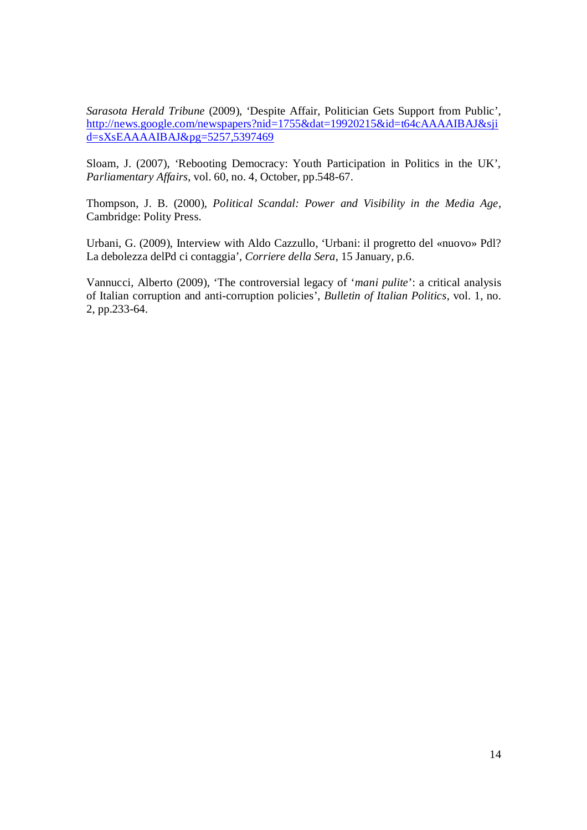*Sarasota Herald Tribune* (2009), 'Despite Affair, Politician Gets Support from Public', http://news.google.com/newspapers?nid=1755&dat=19920215&id=t64cAAAAIBAJ&sji d=sXsEAAAAIBAJ&pg=5257,5397469

Sloam, J. (2007), 'Rebooting Democracy: Youth Participation in Politics in the UK', *Parliamentary Affairs*, vol. 60, no. 4, October, pp.548-67.

Thompson, J. B. (2000), *Political Scandal: Power and Visibility in the Media Age*, Cambridge: Polity Press.

Urbani, G. (2009), Interview with Aldo Cazzullo, 'Urbani: il progretto del «nuovo» Pdl? La debolezza delPd ci contaggia', *Corriere della Sera*, 15 January, p.6.

Vannucci, Alberto (2009), 'The controversial legacy of '*mani pulite*': a critical analysis of Italian corruption and anti-corruption policies', *Bulletin of Italian Politics*, vol. 1, no. 2, pp.233-64.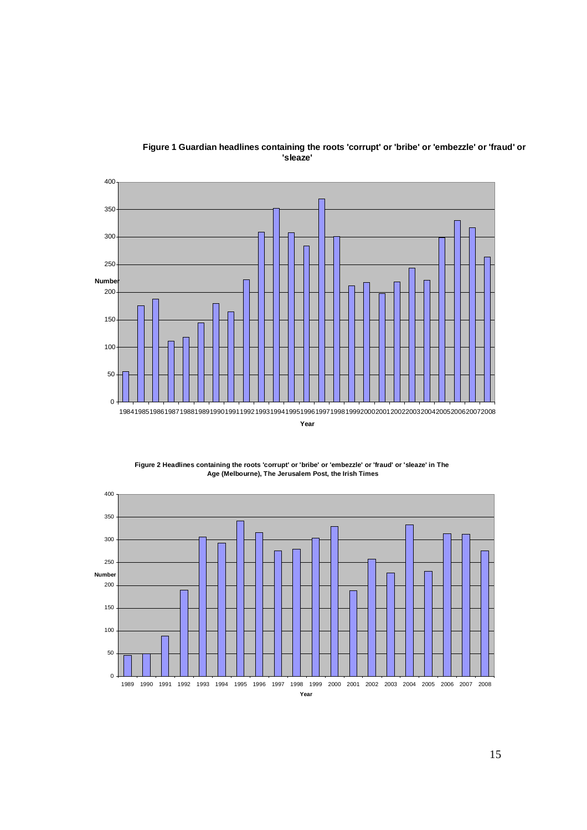

#### **Figure 1 Guardian headlines containing the roots 'corrupt' or 'bribe' or 'embezzle' or 'fraud' or 'sleaze'**



**Figure 2 Headlines containing the roots 'corrupt' or 'bribe' or 'embezzle' or 'fraud' or 'sleaze' in The Age (Melbourne), The Jerusalem Post, the Irish Times**